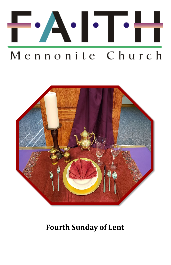



# **Fourth Sunday of Lent**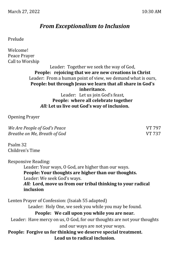## *From Exceptionalism to Inclusion*

Prelude

Welcome! Peace Prayer Call to Worship

Leader: Together we seek the way of God, **People: rejoicing that we are new creations in Christ** Leader: From a human point of view, we demand what is ours, **People: but through Jesus we learn that all share in God's inheritance.** Leader: Let us join God's feast,

**People: where all celebrate together** *All:* **Let us live out God's way of inclusion.**

Opening Prayer

*We Are People of God's Peace* VT 797 *Breathe on Me, Breath of God* VT 737

Psalm 32 Children's Time

Responsive Reading: Leader: Your ways, O God, are higher than our ways. **People: Your thoughts are higher than our thoughts.** Leader: We seek God's ways. *All:* **Lord, move us from our tribal thinking to your radical inclusion** Lenten Prayer of Confession: (Isaiah 55 adapted) Leader: Holy One, we seek you while you may be found. **People: We call upon you while you are near.** Leader: Have mercy on us, O God, for our thoughts are not your thoughts and our ways are not your ways. **People: Forgive us for thinking we deserve special treatment.**

**Lead us to radical inclusion.**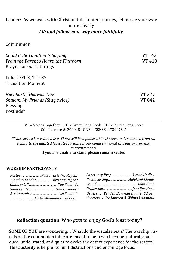#### Leader: As we walk with Christ on this Lenten journey, let us see your way more clearly

#### *All: and follow your way more faithfully.*

Communion

| Could It Be That God Is Singing        | 42     |
|----------------------------------------|--------|
| From the Parent's Heart, the Firstborn | VT 418 |
| Prayer for our Offerings               |        |
| Luke 15:1-3, 11b-32                    |        |
| <b>Transition Moment</b>               |        |
| New Earth, Heavens New                 | VT 377 |
| Shalom, My Friends (Sing twice)        | VT 842 |
| <b>Blessing</b>                        |        |
| Postlude*                              |        |

VT = Voices Together STJ = Green Song Book STS = Purple Song Book CCLI License #: 2009481 ONE LICENSE #739073-A

\**This service is streamed live. There will be a pause while the stream is switched from the public to the unlisted (private) stream for our congregational sharing, prayer, and announcements.* 

#### **If you are unable to stand please remain seated.**

#### **WORSHIP PARTICIPANTS**

| Pastor Pastor Kristine Regehr |
|-------------------------------|
|                               |
| Children's Time Deb Schmidt   |
|                               |
|                               |
|                               |

| Sanctuary Prep Leslie Hadley             |  |
|------------------------------------------|--|
| Broadcasting MeleLani Llanes             |  |
|                                          |  |
|                                          |  |
| Ushers  Wendell Banman & Janet Ediger    |  |
| Greeters Alice Jantzen & Wilma Loganbill |  |

#### **Reflection question:** Who gets to enjoy God's feast today?

**SOME OF YOU** are wondering…. What do the visuals mean? The worship visuals on the communion table are meant to help you become naturally subdued, understated, and quiet to evoke the desert experience for the season. This austerity is helpful to limit distractions and encourage focus.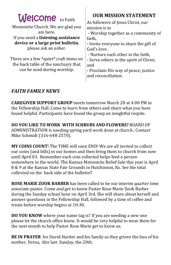| <b>Welcome</b> to Faith<br>Mennonite Church. We are glad you<br>are here.<br>If you need a listening assistance<br>device or a large print bulletin,<br>please ask an usher.<br>There are a few *quiet* craft items on<br>the back table of the sanctuary that<br>can be used during worship. | <b>OUR MISSION STATEMENT</b><br>As followers of Jesus Christ, our<br>mission is to<br>- Worship together as a community of<br>faith,<br>- Invite everyone to share the gift of<br>God's love,<br>- Nurture each other in the faith,<br>- Serve others in the spirit of Christ,<br>and<br>- Proclaim His way of peace, justice<br>and reconciliation. |
|-----------------------------------------------------------------------------------------------------------------------------------------------------------------------------------------------------------------------------------------------------------------------------------------------|------------------------------------------------------------------------------------------------------------------------------------------------------------------------------------------------------------------------------------------------------------------------------------------------------------------------------------------------------|
|                                                                                                                                                                                                                                                                                               |                                                                                                                                                                                                                                                                                                                                                      |

### *FAITH FAMILY NEWS*

**CAREGIVER SUPPORT GROUP** meets tomorrow March 28 at 4:00 PM in the Fellowship Hall. Come to learn from others and share what you have found helpful. Participants have found the group an insightful respite.

**DO YOU LIKE TO WORK WITH SCHRUBS AND FLOWERS?** BOARD OF ADMINISTRATION is needing spring yard work done at church.. Contact Mike Schmidt (316-648-2570).

**MY COINS COUNT**! The TIME will soon END! We are all invited to collect our coins (and bills) in our homes and then bring them to church from now until April 03. Remember each coin collected helps feed a person somewhere in the world. The Kansas Mennonite Relief Sale this year is April 8 & 9 at the Kansas State Fair Grounds in Hutchinson, Ks. See the total collected on the back side of the bulletin!!

**ROSE MARIE ZOOK BARBER** has been called to be our interim quarter time associate pastor. Come and get to know Pastor Rose Marie Zook Barber during the Sunday school hour on April 3rd. She will share about herself and answer questions in the Fellowship Hall, followed by a time of coffee and treats before worship begins at 10:30.

**DO YOU KNOW** where your name tag is? If you are needing a new one please let the church office know. It would be very helpful to wear them for the next month to help Pastor Rose Marie get to know us.

**BE IN PRAYER** for David Harder and his family as they grieve the loss of his mother, Verna, this last Sunday, the 20th.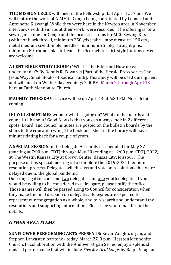**THE MISSION CRCLE** will meet in the Fellowship Hall April 4 at 7 pm. We will feature the work of AIMM in Congo being coordinated by Leonard and Antoinette Kiswangi. While they were here in the Newton area in November interviews with them about their work were recorded. The offering is for a sewing machine for Congo and the project is items for MCC Sewing Kits (white or black thread, minimum 250 yds.; fabric tape measure, 150 cm., metal medium size thimble; needles, minimum 25; pkg. straight pins, minimum 80, rounds plastic heads; black or white shirt-style buttons). Men are welcome.

**A LENT BIBLE STUDY GROUP :** "What is the Bible and How do we understand it?: By Dennis R. Edwards [Part of the Herald Press series The Jesus Way: Small Books of Radical Faith]. This study will be used during Lent and will meet on Wednesday evenings 7:00PM March 2 through April 13 here at Faith Mennonite Church.

**MAUNDY THURSDAY** service will be on April 14 at 6:30 PM. More details coming.

**DO YOU SOMETIMES** wonder what is going on? What do the boards and council talk about? Good News is that you can always look in 2 different spots! Board and council minutes are posted on the bulletin boards by the stairs to the education wing. The book on a shelf in the library will have minutes dating back for a couple of years.

**A SPECIAL SESSION** of the Delegate Assembly is scheduled for May 27 (starting at 7:00 p.m. CDT) through May 30 (ending at 12:00 p.m. CDT), 2022, at The Westin Kansas City at Crown Center, Kansas City, Missouri. The purpose of this special meeting is to complete the 2019-2021 biennium resolution process. Delegates will discuss and vote on resolutions that were delayed due to the global pandemic.

Our congregation can send two delegates and one youth delegate. If you would be willing to be considered as a delegate, please notify the office. Those names will then be passed along to Council for consideration when they make the final decision on delegates. Delegates are expected to represent our congregation as a whole, and to research and understand the resolutions and supporting information. Please see your email for further details.

## *OTHER AREA ITEMS*

**SUNFLOWER PERFORMING ARTS PRESENTS:** [Kevin Vaughn, organ, and](http://click.gotoextinguisher.com/click/ap3h-2icc9f-wl6gxu-7811x5s8/)  [Stephen Lancaster, baritone](http://click.gotoextinguisher.com/click/ap3h-2icc9f-wl6gxu-7811x5s8/) - today, March 27, 3 p.m., Hesston Mennonite Church. In collaboration with the Andover Organ Series, enjoy a splendid musical performance that will include *Five Mystical Songs* by Ralph Vaughan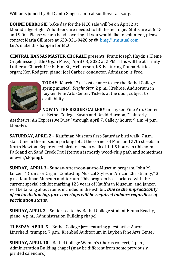Williams joined by Bel Canto Singers. Info at [sunflowerarts.org.](http://click.gotoextinguisher.com/click/ap3h-2icc9f-wl6gxv-7811x5s9/)

**BOHNE BERROGIE** bake day for the MCC sale will be on April 2 at Moundridge High. Volunteers are needed to fill the berrogie. Shifts are at 6:45 and 9:00. Please wear a head covering. If you would like to volunteer, please contact Marla Gillmore at 620-921-0428 or @ [bmg@lrmutual.com](mailto:bmg@lrmutual.com) Let's make this happen for MCC.

**CENTRAL KANSAS MASTER CHORALE** presents: Franz Joseph Haydn's Kleine Orgelmesse (Little Organ Mass). April 03, 2022 at 2 PM. This will be at Trinity Lutheran Church 119 N. Elm St., McPherson, KS. Featuring Donna Hetrick, organ; Ken Rodgers, piano; Joel Garber, conductor. Admission is Free.



**TODAY** (March 27) – Last chance to see the Bethel College spring musical, *Bright Star*, 2 p.m., Krehbiel Auditorium in Luyken Fine Arts Center. Tickets at the door, subject to availability.

**NOW IN THE REGIER GALLERY** in Luyken Fine Arts Center

at Bethel College, Susan and David Harmon, "Painterly Aesthetics: An Expressive Duet," through April 7. Gallery hours: 9 a.m.-4 p.m., Mon.-Fri.

**SATURDAY, APRIL 2** – Kauffman Museum first-Saturday bird walk, 7 a.m. start time in the museum parking lot at the corner of Main and 27th streets in North Newton. Experienced birders lead a walk of 1-1.5 hours in Chisholm Park and on Sand Creek Trail (terrain is mostly wood-chip path and sometimes uneven/sloping).

**SUNDAY, APRIL 3**– Sunday-Afternoon-at-the-Museum program, John M. Janzen, "Drums or Organ: Contesting Musical Styles in African Christianity," 3 p.m., Kauffman Museum auditorium. This program is associated with the current special exhibit marking 125 years of Kauffman Museum, and Janzen will be talking about items included in the exhibit. *Due to the impracticality of social distancing, face coverings will be required indoors regardless of vaccination status.*

**SUNDAY, APRIL 3** – Senior recital by Bethel College student Emma Beachy, piano, 4 p.m., Administration Building chapel.

**TUESDAY, APRIL 5** – Bethel College jazz featuring guest artist Aaron Linscheid, trumpet, 7 p.m., Krehbiel Auditorium in Luyken Fine Arts Center.

**SUNDAY, APRIL 10** – Bethel College Women's Chorus concert, 4 p.m., Administration Building chapel (may be different from some previously printed calendars)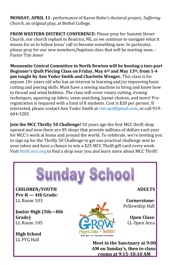**MONDAY, APRIL 11**- performance of Karen Robu's doctoral project, *Suffering Church*, an original play, at Bethel College.

**FROM WESTERN DISTRICT CONFERENCE:** Please pray for Summit Street Church, our church replant in Beatrice, NE, as we continue to navigate what it means for us to follow Jesus' call to become something new. In particular, please pray for our new members/baptism class that will be starting soon. - Pastor Tim Amor

**Mennonite Central Committee in North Newton will be hosting a two-part Beginner's Quilt Piecing Class on Friday, May 6th and May 13th, from 1-4 pm taught by Ann Yoder Smith and Charlotte Wenger.** This class is for anyone 18+ years old who has an interest in learning and/or improving basic cutting and piecing skills. Must have a sewing machine to bring and know how to thread and wind bobbins. The class will cover rotary cutting, ironing techniques, squaring up fabric, seam matching, layout choices, and more! Preregistration is required with a limit of 8 students. Cost is \$20 per person. If interested, please contact Ann Yoder Smith at [rws.ays@gmail.com,](mailto:rws.ays@gmail.com) or call 919- 604-3282

**Join the MCC Thrifty 50 Challenge!** 50 years ago the first MCC thrift shop opened and now there are 85 shops that provide millions of dollars each year for MCC's work at home and around the world. To celebrate, we're inviting you to sign up for the [Thrifty 50 Challenge](https://thrift.mcc.org/50/challenge) to get one practical challenge sent to your inbox and have a chance to win a \$25 MCC Thrift gift card every week. Visit [thrift.mcc.org](https://thrift.mcc.org/) to find a shop near you and learn more about MCC Thrift!



PROCL

.aim • Serve!

**Open Class:** LL Open Area

**Meet in the Sanctuary at 9:00 AM on Sunday's, then to classrooms at 9:15-10:10 AM**

**Junior High (5th—8th Grade)** LL Room 105

**High School**  LL FYG Hall